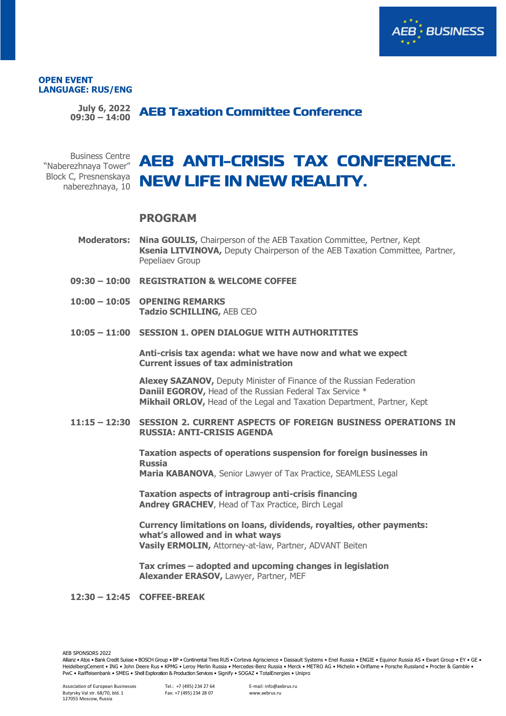

#### **OPEN EVENT LANGUAGE: RUS/ENG**

**July 6, 2022 09:30 – 14:00**

Business Centre "Naberezhnaya Tower" Block C, Presnenskaya naberezhnaya, 10

# **NEW LIFE IN NEW REALITY.**

## **PROGRAM**

**Moderators: Nina GOULIS,** Chairperson of the AEB Taxation Committee, Pertner, Kept **Ksenia LITVINOVA,** Deputy Chairperson of the AEB Taxation Committee, Partner, Pepeliaev Group

- **09:30 – 10:00 REGISTRATION & WELCOME COFFEE**
- **10:00 – 10:05 OPENING REMARKS Tadzio SCHILLING,** AEB CEO
- **10:05 – 11:00 SESSION 1. OPEN DIALOGUE WITH AUTHORITITES**

**Anti-crisis tax agenda: what we have now and what we expect Current issues of tax administration**

**Alexey SAZANOV,** Deputy Minister of Finance of the Russian Federation **Daniil EGOROV, Head of the Russian Federal Tax Service \* Mikhail ORLOV,** Head of the Legal and Taxation Department, Partner, Kept

### **11:15 – 12:30 SESSION 2. CURRENT ASPECTS OF FOREIGN BUSINESS OPERATIONS IN RUSSIA: ANTI-CRISIS AGENDA**

**Taxation aspects of operations suspension for foreign businesses in Russia Maria KABANOVA**, Senior Lawyer of Tax Practice, SEAMLESS Legal

**Taxation aspects of intragroup anti-crisis financing Andrey GRACHEV**, Head of Tax Practice, Birch Legal

**Currency limitations on loans, dividends, royalties, other payments: what's allowed and in what ways Vasily ERMOLIN,** Attorney-at-law, Partner, ADVANT Beiten

**Tax crimes – adopted and upcoming changes in legislation Alexander ERASOV,** Lawyer, Partner, MEF

**12:30 – 12:45 COFFEE-BREAK**

AEB SPONSORS 2022

Allianz • Atos • Bank Credit Suisse • BOSCH Group • BP • Continental Tires RUS • Corteva Agriscience • Dassault Systems • Enel Russia • ENGIE • Equinor Russia AS • Ewart Group • EY • GE • HeidelbergCement • ING • John Deere Rus • KPMG • Leroy Merlin Russia • Mercedes-Benz Russia • Merck • METRO AG • Michelin • Oriflame • Porsche Russland • Procter & Gamble • PwC • Raiffeisenbank • SMEG • Shell Exploration & Production Services • Signify • SOGAZ • TotalEnergies • Unipro